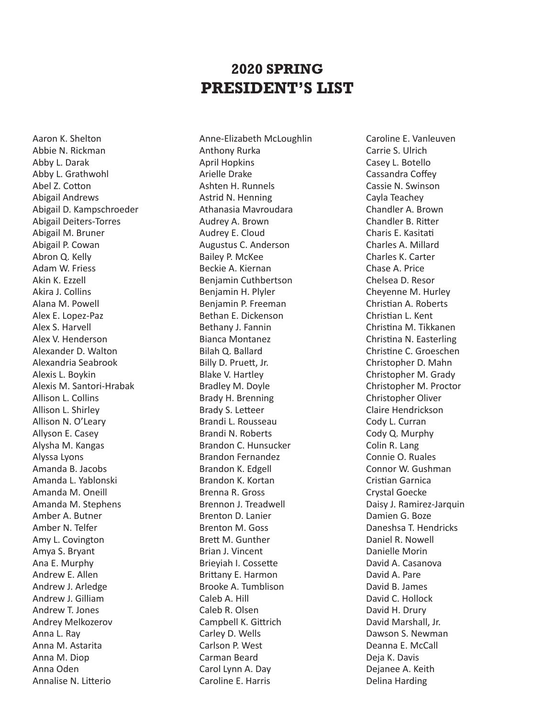## **2020 SPRING PRESIDENT'S LIST**

Aaron K. Shelton Abbie N. Rickman Abby L. Darak Abby L. Grathwohl Abel Z. Cotton Abigail Andrews Abigail D. Kampschroeder Abigail Deiters-Torres Abigail M. Bruner Abigail P. Cowan Abron Q. Kelly Adam W. Friess Akin K. Ezzell Akira J. Collins Alana M. Powell Alex E. Lopez-Paz Alex S. Harvell Alex V. Henderson Alexander D. Walton Alexandria Seabrook Alexis L. Boykin Alexis M. Santori-Hrabak Allison L. Collins Allison L. Shirley Allison N. O'Leary Allyson E. Casey Alysha M. Kangas Alyssa Lyons Amanda B. Jacobs Amanda L. Yablonski Amanda M. Oneill Amanda M. Stephens Amber A. Butner Amber N. Telfer Amy L. Covington Amya S. Bryant Ana E. Murphy Andrew E. Allen Andrew J. Arledge Andrew J. Gilliam Andrew T. Jones Andrey Melkozerov Anna L. Ray Anna M. Astarita Anna M. Diop Anna Oden Annalise N. Litterio

Anne-Elizabeth McLoughlin Anthony Rurka April Hopkins Arielle Drake Ashten H. Runnels Astrid N. Henning Athanasia Mavroudara Audrey A. Brown Audrey E. Cloud Augustus C. Anderson Bailey P. McKee Beckie A. Kiernan Benjamin Cuthbertson Benjamin H. Plyler Benjamin P. Freeman Bethan E. Dickenson Bethany J. Fannin Bianca Montanez Bilah Q. Ballard Billy D. Pruett, Jr. Blake V. Hartley Bradley M. Doyle Brady H. Brenning Brady S. Letteer Brandi L. Rousseau Brandi N. Roberts Brandon C. Hunsucker Brandon Fernandez Brandon K. Edgell Brandon K. Kortan Brenna R. Gross Brennon J. Treadwell Brenton D. Lanier Brenton M. Goss Brett M. Gunther Brian J. Vincent Brieyiah I. Cossette Brittany E. Harmon Brooke A. Tumblison Caleb A. Hill Caleb R. Olsen Campbell K. Gittrich Carley D. Wells Carlson P. West Carman Beard Carol Lynn A. Day Caroline E. Harris

Caroline E. Vanleuven Carrie S. Ulrich Casey L. Botello Cassandra Coffey Cassie N. Swinson Cayla Teachey Chandler A. Brown Chandler B. Ritter Charis E. Kasitati Charles A. Millard Charles K. Carter Chase A. Price Chelsea D. Resor Cheyenne M. Hurley Christian A. Roberts Christian L. Kent Christina M. Tikkanen Christina N. Easterling Christine C. Groeschen Christopher D. Mahn Christopher M. Grady Christopher M. Proctor Christopher Oliver Claire Hendrickson Cody L. Curran Cody Q. Murphy Colin R. Lang Connie O. Ruales Connor W. Gushman Cristian Garnica Crystal Goecke Daisy J. Ramirez-Jarquin Damien G. Boze Daneshsa T. Hendricks Daniel R. Nowell Danielle Morin David A. Casanova David A. Pare David B. James David C. Hollock David H. Drury David Marshall, Jr. Dawson S. Newman Deanna E. McCall Deja K. Davis Dejanee A. Keith Delina Harding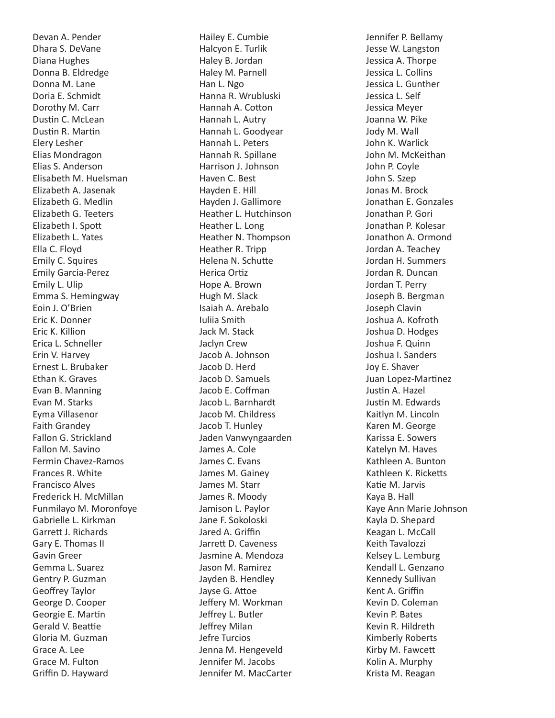Devan A. Pender Dhara S. DeVane Diana Hughes Donna B. Eldredge Donna M. Lane Doria E. Schmidt Dorothy M. Carr Dustin C. McLean Dustin R. Martin Elery Lesher Elias Mondragon Elias S. Anderson Elisabeth M. Huelsman Elizabeth A. Jasenak Elizabeth G. Medlin Elizabeth G. Teeters Elizabeth I. Spott Elizabeth L. Yates Ella C. Floyd Emily C. Squires Emily Garcia-Perez Emily L. Ulip Emma S. Hemingway Eoin J. O'Brien Eric K. Donner Eric K. Killion Erica L. Schneller Erin V. Harvey Ernest L. Brubaker Ethan K. Graves Evan B. Manning Evan M. Starks Eyma Villasenor Faith Grandey Fallon G. Strickland Fallon M. Savino Fermin Chavez-Ramos Frances R. White Francisco Alves Frederick H. McMillan Funmilayo M. Moronfoye Gabrielle L. Kirkman Garrett J. Richards Gary E. Thomas II Gavin Greer Gemma L. Suarez Gentry P. Guzman Geoffrey Taylor George D. Cooper Georgie E. Martin Gerald V. Beattie Gloria M. Guzman Grace A. Lee Grace M. Fulton Griffin D. Hayward

Hailey E. Cumbie Halcyon E. Turlik Haley B. Jordan Haley M. Parnell Han L. Ngo Hanna R. Wrubluski Hannah A. Cotton Hannah L. Autry Hannah L. Goodyear Hannah L. Peters Hannah R. Spillane Harrison J. Johnson Haven C. Best Hayden E. Hill Hayden J. Gallimore Heather L. Hutchinson Heather L. Long Heather N. Thompson Heather R. Tripp Helena N. Schutte Herica Ortiz Hope A. Brown Hugh M. Slack Isaiah A. Arebalo Iuliia Smith Jack M. Stack Jaclyn Crew Jacob A. Johnson Jacob D. Herd Jacob D. Samuels Jacob E. Coffman Jacob L. Barnhardt Jacob M. Childress Jacob T. Hunley Jaden Vanwyngaarden James A. Cole James C. Evans James M. Gainey James M. Starr James R. Moody Jamison L. Paylor Jane F. Sokoloski Jared A. Griffin Jarrett D. Caveness Jasmine A. Mendoza Jason M. Ramirez Jayden B. Hendley Jayse G. Attoe Jeffery M. Workman Jeffrey L. Butler Jeffrey Milan Jefre Turcios Jenna M. Hengeveld Jennifer M. Jacobs Jennifer M. MacCarter

Jennifer P. Bellamy Jesse W. Langston Jessica A. Thorpe Jessica L. Collins Jessica L. Gunther Jessica L. Self Jessica Meyer Joanna W. Pike Jody M. Wall John K. Warlick John M. McKeithan John P. Coyle John S. Szep Jonas M. Brock Jonathan E. Gonzales Jonathan P. Gori Jonathan P. Kolesar Jonathon A. Ormond Jordan A. Teachey Jordan H. Summers Jordan R. Duncan Jordan T. Perry Joseph B. Bergman Joseph Clavin Joshua A. Kofroth Joshua D. Hodges Joshua F. Quinn Joshua I. Sanders Joy E. Shaver Juan Lopez-Martinez Justin A. Hazel Justin M. Edwards Kaitlyn M. Lincoln Karen M. George Karissa E. Sowers Katelyn M. Haves Kathleen A. Bunton Kathleen K. Ricketts Katie M. Jarvis Kaya B. Hall Kaye Ann Marie Johnson Kayla D. Shepard Keagan L. McCall Keith Tavalozzi Kelsey L. Lemburg Kendall L. Genzano Kennedy Sullivan Kent A. Griffin Kevin D. Coleman Kevin P. Bates Kevin R. Hildreth Kimberly Roberts Kirby M. Fawcett Kolin A. Murphy Krista M. Reagan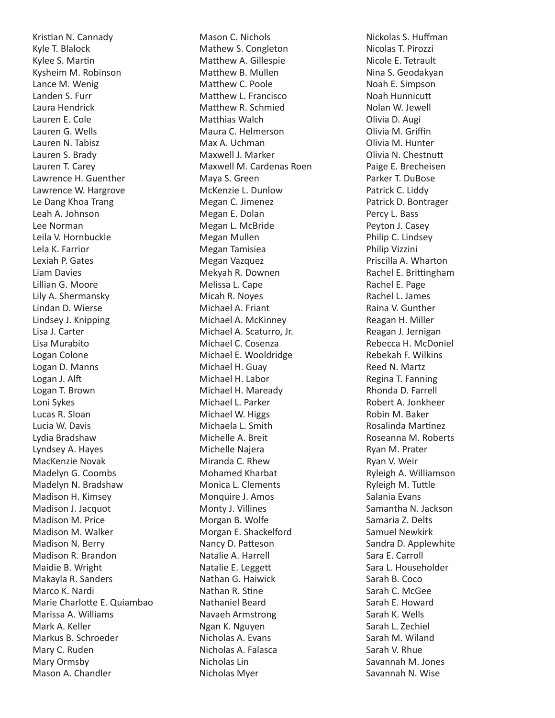Kristian N. Cannady Kyle T. Blalock Kylee S. Martin Kysheim M. Robinson Lance M. Wenig Landen S. Furr Laura Hendrick Lauren E. Cole Lauren G. Wells Lauren N. Tabisz Lauren S. Brady Lauren T. Carey Lawrence H. Guenther Lawrence W. Hargrove Le Dang Khoa Trang Leah A. Johnson Lee Norman Leila V. Hornbuckle Lela K. Farrior Lexiah P. Gates Liam Davies Lillian G. Moore Lily A. Shermansky Lindan D. Wierse Lindsey J. Knipping Lisa J. Carter Lisa Murabito Logan Colone Logan D. Manns Logan J. Alft Logan T. Brown Loni Sykes Lucas R. Sloan Lucia W. Davis Lydia Bradshaw Lyndsey A. Hayes MacKenzie Novak Madelyn G. Coombs Madelyn N. Bradshaw Madison H. Kimsey Madison J. Jacquot Madison M. Price Madison M. Walker Madison N. Berry Madison R. Brandon Maidie B. Wright Makayla R. Sanders Marco K. Nardi Marie Charlotte E. Quiambao Marissa A. Williams Mark A. Keller Markus B. Schroeder Mary C. Ruden Mary Ormsby Mason A. Chandler

Mason C. Nichols Mathew S. Congleton Matthew A. Gillespie Matthew B. Mullen Matthew C. Poole Matthew L. Francisco Matthew R. Schmied Matthias Walch Maura C. Helmerson Max A. Uchman Maxwell J. Marker Maxwell M. Cardenas Roen Maya S. Green McKenzie L. Dunlow Megan C. Jimenez Megan E. Dolan Megan L. McBride Megan Mullen Megan Tamisiea Megan Vazquez Mekyah R. Downen Melissa L. Cape Micah R. Noyes Michael A. Friant Michael A. McKinney Michael A. Scaturro, Jr. Michael C. Cosenza Michael E. Wooldridge Michael H. Guay Michael H. Labor Michael H. Maready Michael L. Parker Michael W. Higgs Michaela L. Smith Michelle A. Breit Michelle Najera Miranda C. Rhew Mohamed Kharbat Monica L. Clements Monquire J. Amos Monty J. Villines Morgan B. Wolfe Morgan E. Shackelford Nancy D. Patteson Natalie A. Harrell Natalie E. Leggett Nathan G. Haiwick Nathan R. Stine Nathaniel Beard Navaeh Armstrong Ngan K. Nguyen Nicholas A. Evans Nicholas A. Falasca Nicholas Lin Nicholas Myer

Nickolas S. Huffman Nicolas T. Pirozzi Nicole E. Tetrault Nina S. Geodakyan Noah E. Simpson Noah Hunnicutt Nolan W. Jewell Olivia D. Augi Olivia M. Griffin Olivia M. Hunter Olivia N. Chestnutt Paige E. Brecheisen Parker T. DuBose Patrick C. Liddy Patrick D. Bontrager Percy L. Bass Peyton J. Casey Philip C. Lindsey Philip Vizzini Priscilla A. Wharton Rachel E. Brittingham Rachel E. Page Rachel L. James Raina V. Gunther Reagan H. Miller Reagan J. Jernigan Rebecca H. McDoniel Rebekah F. Wilkins Reed N. Martz Regina T. Fanning Rhonda D. Farrell Robert A. Jonkheer Robin M. Baker Rosalinda Martinez Roseanna M. Roberts Ryan M. Prater Ryan V. Weir Ryleigh A. Williamson Ryleigh M. Tuttle Salania Evans Samantha N. Jackson Samaria Z. Delts Samuel Newkirk Sandra D. Applewhite Sara E. Carroll Sara L. Householder Sarah B. Coco Sarah C. McGee Sarah E. Howard Sarah K. Wells Sarah L. Zechiel Sarah M. Wiland Sarah V. Rhue Savannah M. Jones Savannah N. Wise